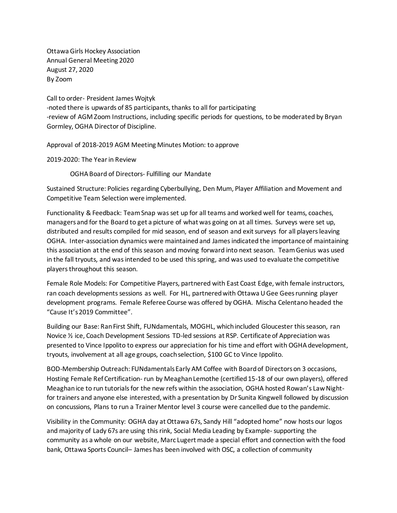Ottawa Girls Hockey Association Annual General Meeting 2020 August 27, 2020 By Zoom

Call to order- President James Wojtyk -noted there is upwards of 85 participants, thanks to all for participating -review of AGM Zoom Instructions, including specific periods for questions, to be moderated by Bryan Gormley, OGHA Director of Discipline.

Approval of 2018-2019 AGM Meeting Minutes Motion: to approve

2019-2020: The Year in Review

OGHA Board of Directors- Fulfilling our Mandate

Sustained Structure: Policies regarding Cyberbullying, Den Mum, Player Affiliation and Movement and Competitive Team Selection were implemented.

Functionality & Feedback: Team Snap was set up for all teams and worked well for teams, coaches, managers and for the Board to get a picture of what was going on at all times. Surveys were set up, distributed and results compiled for mid season, end of season and exit surveys for all players leaving OGHA. Inter-association dynamics were maintained and James indicated the importance of maintaining this association at the end of this season and moving forward into next season. Team Genius was used in the fall tryouts, and was intended to be used this spring, and was used to evaluate the competitive players throughout this season.

Female Role Models: For Competitive Players, partnered with East Coast Edge, with female instructors, ran coach developments sessions as well. For HL, partnered with Ottawa U Gee Geesrunning player development programs. Female Referee Course was offered by OGHA. Mischa Celentano headed the "Cause It's 2019 Committee".

Building our Base: Ran First Shift, FUNdamentals, MOGHL, which included Gloucester this season, ran Novice ½ ice, Coach Development Sessions TD-led sessions at RSP. Certificate of Appreciation was presented to Vince Ippolito to express our appreciation for his time and effort with OGHA development, tryouts, involvement at all age groups, coach selection, \$100 GC to Vince Ippolito.

BOD-Membership Outreach: FUNdamentalsEarly AM Coffee with Board of Directorson 3 occasions, Hosting Female Ref Certification- run by Meaghan Lemothe (certified 15-18 of our own players), offered Meaghan ice to run tutorials for the new refs within the association, OGHA hosted Rowan's Law Nightfor trainers and anyone else interested, with a presentation by Dr Sunita Kingwell followed by discussion on concussions, Plans to run a Trainer Mentor level 3 course were cancelled due to the pandemic.

Visibility in the Community: OGHA day at Ottawa 67s, Sandy Hill "adopted home" now hosts our logos and majority of Lady 67s are using this rink, Social Media Leading by Example-supporting the community as a whole on our website, Marc Lugert made a special effort and connection with the food bank, Ottawa Sports Council– James has been involved with OSC, a collection of community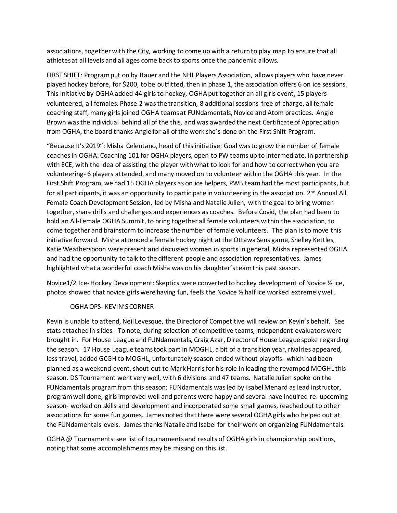associations, together with the City, working to come up with a return to play map to ensure that all athletes at all levels and all ages come back to sports once the pandemic allows.

FIRST SHIFT: Program put on by Bauer and the NHL Players Association, allows players who have never played hockey before, for \$200, to be outfitted, then in phase 1, the association offers 6 on ice sessions. This initiative by OGHA added 44 girlsto hockey, OGHA put together an all girls event, 15 players volunteered, all females. Phase 2 was the transition, 8 additional sessions free of charge, all female coaching staff, many girls joined OGHA teams at FUNdamentals, Novice and Atom practices. Angie Brown was the individual behind all of the this, and was awarded the next Certificate of Appreciation from OGHA, the board thanks Angie for all of the work she's done on the First Shift Program.

"Because It's 2019": Misha Celentano, head of this initiative: Goal was to grow the number of female coaches in OGHA: Coaching 101 for OGHA players, open to PW teams up to intermediate, in partnership with ECE, with the idea of assisting the player with what to look for and how to correct when you are volunteering- 6 players attended, and many moved on to volunteer within the OGHA this year. In the First Shift Program, we had 15 OGHA players as on ice helpers, PWB team had the most participants, but for all participants, it was an opportunity to participate in volunteering in the association.  $2^{nd}$  Annual All Female Coach Development Session, led by Misha and Natalie Julien, with the goal to bring women together, share drills and challenges and experiences as coaches. Before Covid, the plan had been to hold an All-Female OGHA Summit, to bring together all female volunteers within the association, to come together and brainstorm to increase the number of female volunteers. The plan is to move this initiative forward. Misha attended a female hockey night at the Ottawa Sens game, Shelley Kettles, Katie Weatherspoon were present and discussed women in sports in general, Misha represented OGHA and had the opportunity to talk to the different people and association representatives. James highlighted what a wonderful coach Misha was on his daughter's team this past season.

Novice1/2 Ice-Hockey Development: Skeptics were converted to hockey development of Novice ½ ice, photos showed that novice girls were having fun, feels the Novice ½ half ice worked extremely well.

## OGHA OPS- KEVIN'S CORNER

Kevin is unable to attend, Neil Levesque, the Director of Competitive will review on Kevin's behalf. See stats attached in slides. To note, during selection of competitive teams, independent evaluators were brought in. For House League and FUNdamentals, Craig Azar, Director of House League spoke regarding the season. 17 House League teams took part in MOGHL, a bit of a transition year, rivalries appeared, less travel, added GCGH to MOGHL, unfortunately season ended without playoffs- which had been planned as a weekend event, shout out to Mark Harris for his role in leading the revamped MOGHL this season. DS Tournament went very well, with 6 divisions and 47 teams. Natalie Julien spoke on the FUNdamentals program from this season: FUNdamentals was led by Isabel Menard as lead instructor, program well done, girls improved well and parents were happy and several have inquired re: upcoming season- worked on skills and development and incorporated some small games, reached out to other associations for some fun games. James noted that there were several OGHA girls who helped out at the FUNdamentals levels. James thanks Natalie and Isabel for their work on organizing FUNdamentals.

OGHA @ Tournaments: see list of tournaments and results of OGHA girls in championship positions, noting that some accomplishments may be missing on this list.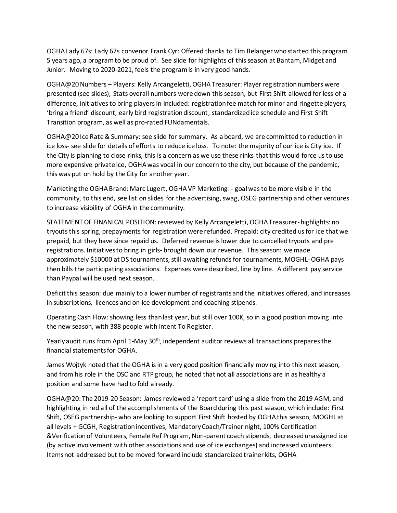OGHA Lady 67s: Lady 67s convenor Frank Cyr: Offered thanks to Tim Belanger who started this program 5 years ago, a program to be proud of. See slide for highlights of this season at Bantam, Midget and Junior. Moving to 2020-2021, feels the program is in very good hands.

OGHA@20 Numbers – Players: Kelly Arcangeletti, OGHA Treasurer: Player registration numbers were presented (see slides), Stats overall numbers were down this season, but First Shift allowed for less of a difference, initiatives to bring players in included: registration fee match for minor and ringette players, 'bring a friend' discount, early bird registration discount, standardized ice schedule and First Shift Transition program, as well as pro-rated FUNdamentals.

OGHA@20 Ice Rate & Summary: see slide for summary. As a board, we are committed to reduction in ice loss- see slide for details of efforts to reduce ice loss. To note: the majority of our ice is City ice. If the City is planning to close rinks, this is a concern as we use these rinks that this would force us to use more expensive private ice, OGHA was vocal in our concern to the city, but because of the pandemic, this was put on hold by the City for another year.

Marketing the OGHA Brand: Marc Lugert, OGHA VP Marketing: - goal was to be more visible in the community, to this end, see list on slides for the advertising, swag, OSEG partnership and other ventures to increase visibility of OGHA in the community.

STATEMENT OF FINANICAL POSITION: reviewed by Kelly Arcangeletti, OGHA Treasurer-highlights: no tryouts this spring, prepayments for registration were refunded. Prepaid: city credited us for ice that we prepaid, but they have since repaid us. Deferred revenue is lower due to cancelled tryouts and pre registrations. Initiatives to bring in girls- brought down our revenue. This season: we made approximately \$10000 at DS tournaments, still awaiting refunds for tournaments, MOGHL-OGHA pays then bills the participating associations. Expenses were described, line by line. A different pay service than Paypal will be used next season.

Deficit this season: due mainly to a lower number of registrants and the initiatives offered, and increases in subscriptions, licences and on ice development and coaching stipends.

Operating Cash Flow: showing less than last year, but still over 100K, so in a good position moving into the new season, with 388 people with Intent To Register.

Yearly audit runs from April 1-May 30<sup>th</sup>, independent auditor reviews all transactions prepares the financial statementsfor OGHA.

James Wojtyk noted that the OGHA is in a very good position financially moving into this next season, and from his role in the OSC and RTP group, he noted that not all associations are in as healthy a position and some have had to fold already.

OGHA@20: The 2019-20 Season: James reviewed a 'report card' using a slide from the 2019 AGM, and highlighting in red all of the accomplishments of the Board during this past season, which include: First Shift, OSEG partnership- who are looking to support First Shift hosted by OGHA this season, MOGHL at all levels + GCGH, Registration incentives, Mandatory Coach/Trainer night, 100% Certification &Verification of Volunteers, Female Ref Program, Non-parent coach stipends, decreased unassigned ice (by active involvement with other associations and use of ice exchanges) and increased volunteers. Items not addressed but to be moved forward include standardized trainer kits, OGHA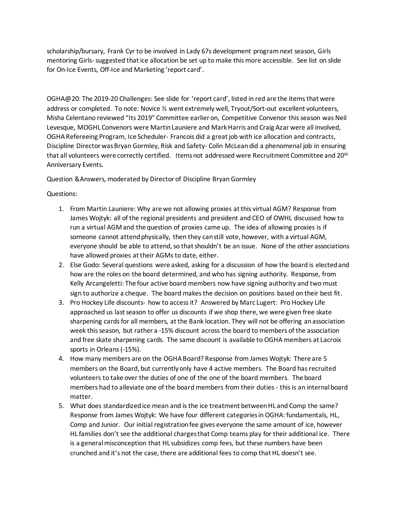scholarship/bursary, Frank Cyr to be involved in Lady 67s development programnext season, Girls mentoring Girls- suggested that ice allocation be set up to make this more accessible. See list on slide for On-Ice Events, Off-Ice and Marketing 'report card'.

OGHA@20: The 2019-20 Challenges: See slide for 'report card', listed in red are the items that were address or completed. To note: Novice 1/2 went extremely well, Tryout/Sort-out excellent volunteers, Misha Celentano reviewed "Its 2019" Committee earlier on, Competitive Convenor this season was Neil Levesque, MOGHL Convenors were Martin Launiere and Mark Harris and Craig Azar were all involved, OGHA Refereeing Program, Ice Scheduler- Francois did a great job with ice allocation and contracts, Discipline Director was Bryan Gormley, Risk and Safety- Colin McLean did a phenomenal job in ensuring that all volunteers were correctly certified. Items not addressed were Recruitment Committee and 20th Anniversary Events.

Question &Answers, moderated by Director of Discipline Bryan Gormley

## Questions:

- 1. From Martin Launiere: Why are we not allowing proxies at this virtual AGM? Response from James Wojtyk: all of the regional presidents and president and CEO of OWHL discussed how to run a virtual AGM and the question of proxies came up. The idea of allowing proxies is if someone cannot attend physically, then they can still vote, however, with a virtual AGM, everyone should be able to attend, so that shouldn't be an issue. None of the other associations have allowed proxies at their AGMs to date, either.
- 2. Else Godo: Several questions were asked, asking for a discussion of how the board is elected and how are the roles on the board determined, and who has signing authority. Response, from Kelly Arcangeletti: The four active board members now have signing authority and two must sign to authorize a cheque. The board makes the decision on positions based on their best fit.
- 3. Pro Hockey Life discounts- how to access it? Answered by Marc Lugert: Pro Hockey Life approached us last season to offer us discounts if we shop there, we were given free skate sharpening cards for all members, at the Bank location. They will not be offering an association week this season, but rather a -15% discount across the board to members of the association and free skate sharpening cards. The same discount is available to OGHA members at Lacroix sports in Orleans (-15%).
- 4. How many members are on the OGHA Board? Response from James Wojtyk: There are 5 members on the Board, but currently only have 4 active members. The Board has recruited volunteers to take over the duties of one of the one of the board members. The board members had to alleviate one of the board members from their duties- this is an internal board matter.
- 5. What does standardized ice mean and is the ice treatment between HL and Comp the same? Response from James Wojtyk: We have four different categories in OGHA: fundamentals, HL, Comp and Junior. Our initial registration fee gives everyone the same amount of ice, however HL families don't see the additional charges that Comp teams play for their additional ice. There is a general misconception that HL subsidizes comp fees, but these numbers have been crunched and it's not the case, there are additional fees to comp that HL doesn't see.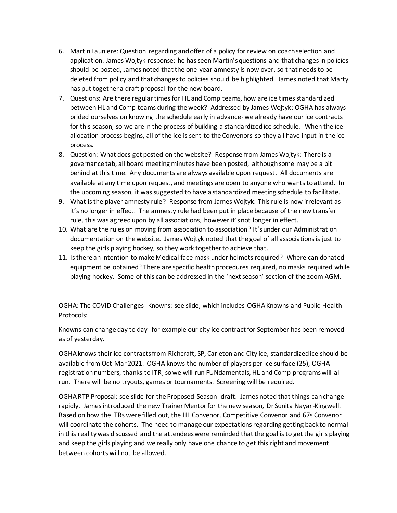- 6. Martin Launiere: Question regarding and offer of a policy for review on coach selection and application. James Wojtyk response: he has seen Martin's questions and that changes in policies should be posted, James noted that the one-year amnesty is now over, so that needs to be deleted from policy and that changes to policies should be highlighted. James noted that Marty has put together a draft proposal for the new board.
- 7. Questions: Are there regular times for HL and Comp teams, how are ice times standardized between HL and Comp teams during the week? Addressed by James Wojtyk: OGHA has always prided ourselves on knowing the schedule early in advance-we already have our ice contracts for this season, so we are in the process of building a standardized ice schedule. When the ice allocation process begins, all of the ice is sent to the Convenors so they all have input in the ice process.
- 8. Question: What docs get posted on the website? Response from James Wojtyk: There is a governance tab, all board meeting minutes have been posted, although some may be a bit behind at this time. Any documents are always available upon request. All documents are available at any time upon request, and meetings are open to anyone who wants to attend. In the upcoming season, it was suggested to have a standardized meeting schedule to facilitate.
- 9. What is the player amnesty rule? Response from James Wojtyk: This rule is now irrelevant as it's no longer in effect. The amnesty rule had been put in place because of the new transfer rule, this was agreed upon by all associations, however it's not longer in effect.
- 10. What are the rules on moving from association to association? It's under our Administration documentation on the website. James Wojtyk noted that the goal of all associations is just to keep the girls playing hockey, so they work together to achieve that.
- 11. Is there an intention to make Medical face mask under helmets required? Where can donated equipment be obtained? There are specific health procedures required, no masks required while playing hockey. Some of this can be addressed in the 'next season' section of the zoom AGM.

OGHA: The COVID Challenges -Knowns: see slide, which includes OGHA Knowns and Public Health Protocols:

Knowns can change day to day- for example our city ice contract for September has been removed as of yesterday.

OGHA knows their ice contracts from Richcraft, SP, Carleton and City ice, standardized ice should be available from Oct-Mar 2021. OGHA knows the number of players per ice surface (25), OGHA registration numbers, thanks to ITR, so we will run FUNdamentals, HL and Comp programs will all run. There will be no tryouts, games or tournaments. Screening will be required.

OGHA RTP Proposal: see slide for the Proposed Season -draft. James noted that things can change rapidly. James introduced the new Trainer Mentor for the new season, Dr Sunita Nayar-Kingwell. Based on how the ITRs were filled out, the HL Convenor, Competitive Convenor and 67s Convenor will coordinate the cohorts. The need to manage our expectations regarding getting back to normal in this reality was discussed and the attendees were reminded that the goal is to get the girls playing and keep the girls playing and we really only have one chance to get this right and movement between cohorts will not be allowed.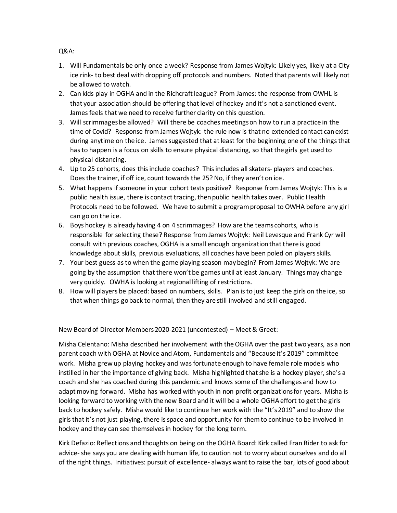Q&A:

- 1. Will Fundamentals be only once a week? Response from James Wojtyk: Likely yes, likely at a City ice rink- to best deal with dropping off protocols and numbers. Noted that parents will likely not be allowed to watch.
- 2. Can kids play in OGHA and in the Richcraft league? From James: the response from OWHL is that your association should be offering that level of hockey and it's not a sanctioned event. James feels that we need to receive further clarity on this question.
- 3. Will scrimmages be allowed? Will there be coaches meetings on how to run a practice in the time of Covid? Response from James Wojtyk: the rule now is that no extended contact can exist during anytime on the ice. James suggested that at least for the beginning one of the things that has to happen is a focus on skills to ensure physical distancing, so that the girls get used to physical distancing.
- 4. Up to 25 cohorts, does this include coaches? This includes all skaters- players and coaches. Does the trainer, if off ice, count towards the 25? No, if they aren't on ice.
- 5. What happens if someone in your cohort tests positive? Response from James Wojtyk: This is a public health issue, there is contact tracing, then public health takes over. Public Health Protocols need to be followed. We have to submit a program proposal to OWHA before any girl can go on the ice.
- 6. Boys hockey is already having 4 on 4 scrimmages? How are the teams cohorts, who is responsible for selecting these? Response from James Wojtyk: Neil Levesque and Frank Cyr will consult with previous coaches, OGHA is a small enough organization that there is good knowledge about skills, previous evaluations, all coaches have been poled on players skills.
- 7. Your best guess as to when the game playing season may begin? From James Wojtyk: We are going by the assumption that there won't be games until at least January. Things may change very quickly. OWHA is looking at regional lifting of restrictions.
- 8. How will players be placed: based on numbers, skills. Plan is to just keep the girls on the ice, so that when things go back to normal, then they are still involved and still engaged.

New Board of Director Members 2020-2021 (uncontested) – Meet & Greet:

Misha Celentano: Misha described her involvement with the OGHA over the past two years, as a non parent coach with OGHA at Novice and Atom, Fundamentals and "Because it's 2019" committee work. Misha grew up playing hockey and was fortunate enough to have female role models who instilled in her the importance of giving back. Misha highlighted that she is a hockey player, she's a coach and she has coached during this pandemic and knows some of the challenges and how to adapt moving forward. Misha has worked with youth in non profit organizations for years. Misha is looking forward to working with the new Board and it will be a whole OGHA effort to get the girls back to hockey safely. Misha would like to continue her work with the "It's 2019" and to show the girls that it's not just playing, there is space and opportunity for them to continue to be involved in hockey and they can see themselves in hockey for the long term.

Kirk Defazio: Reflections and thoughts on being on the OGHA Board: Kirk called Fran Rider to ask for advice-she says you are dealing with human life, to caution not to worry about ourselves and do all of the right things. Initiatives: pursuit of excellence- always want to raise the bar, lots of good about